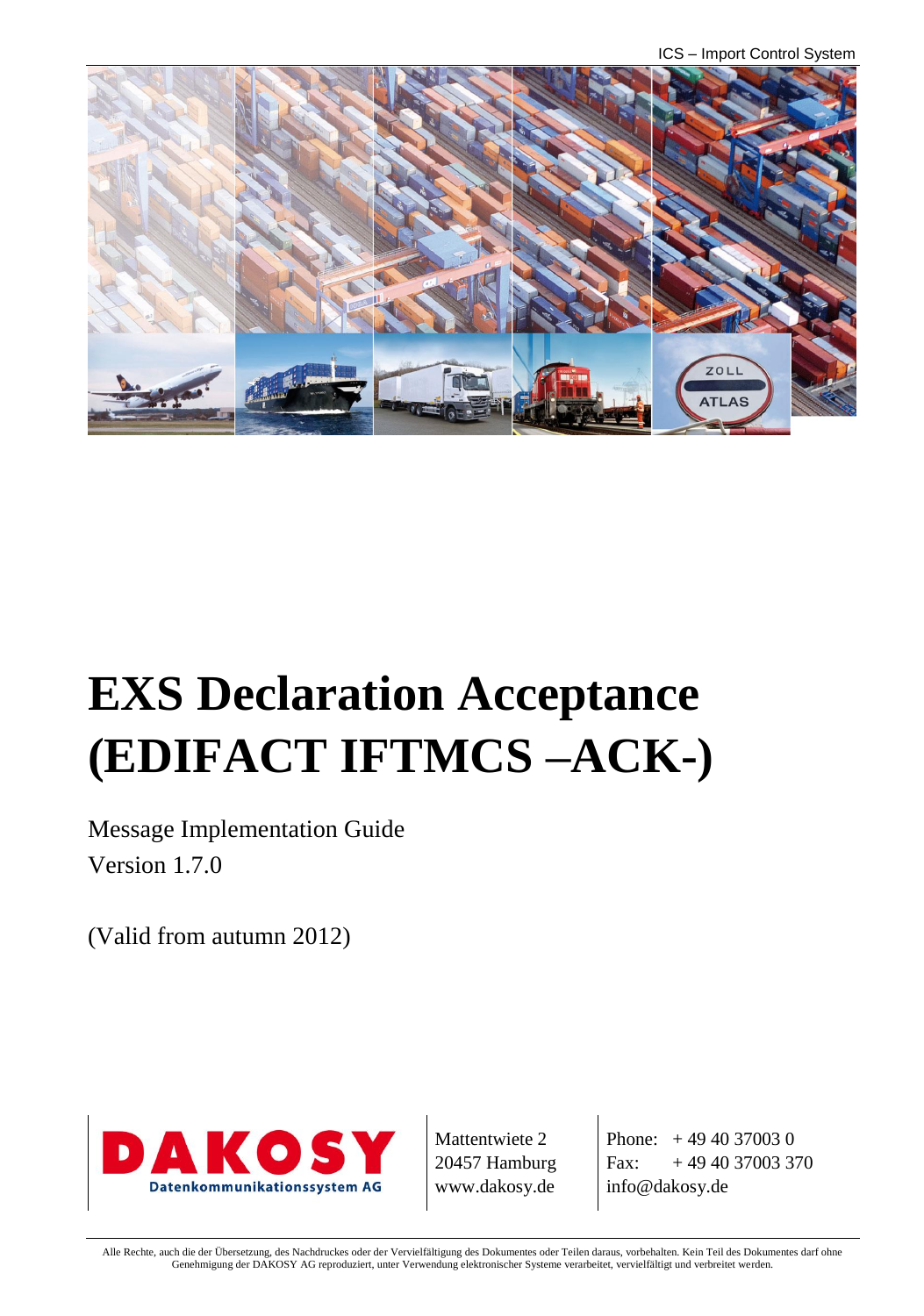ICS – Import Control System



# **EXS Declaration Acceptance (EDIFACT IFTMCS –ACK-)**

Message Implementation Guide Version 1.7.0

(Valid from autumn 2012)



Mattentwiete 2 20457 Hamburg www.dakosy.de

Phone: + 49 40 37003 0 Fax:  $+49\,40\,37003\,370$ info@dakosy.de

Alle Rechte, auch die der Übersetzung, des Nachdruckes oder der Vervielfältigung des Dokumentes oder Teilen daraus, vorbehalten. Kein Teil des Dokumentes darf ohne Genehmigung der DAKOSY AG reproduziert, unter Verwendung elektronischer Systeme verarbeitet, vervielfältigt und verbreitet werden.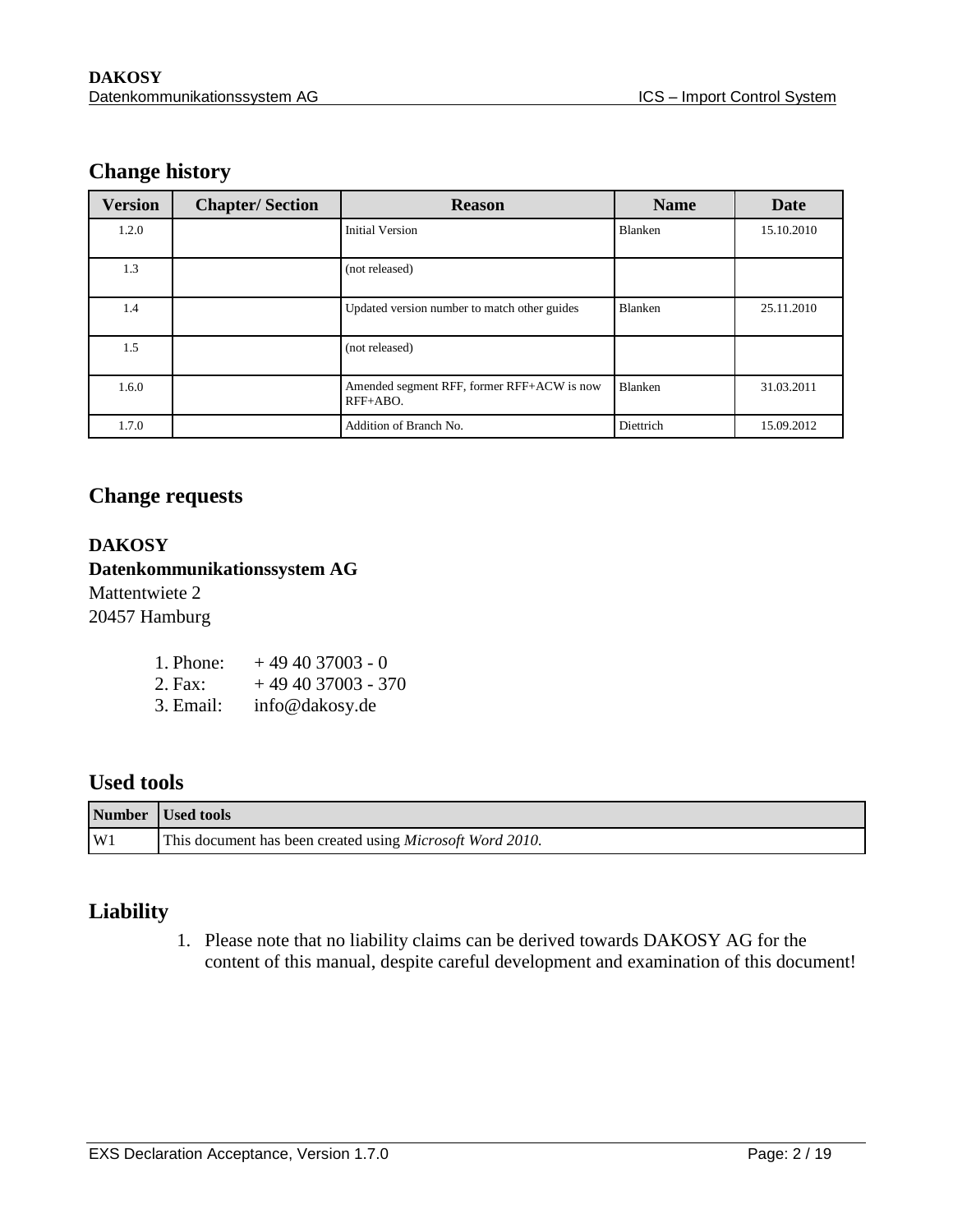### **Change history**

| <b>Version</b> | <b>Chapter/Section</b> | <b>Reason</b>                                          | <b>Name</b>    | Date       |
|----------------|------------------------|--------------------------------------------------------|----------------|------------|
| 1.2.0          |                        | <b>Initial Version</b>                                 | <b>Blanken</b> | 15.10.2010 |
| 1.3            |                        | (not released)                                         |                |            |
| 1.4            |                        | Updated version number to match other guides           | <b>Blanken</b> | 25.11.2010 |
| 1.5            |                        | (not released)                                         |                |            |
| 1.6.0          |                        | Amended segment RFF, former RFF+ACW is now<br>RFF+ABO. | Blanken        | 31.03.2011 |
| 1.7.0          |                        | Addition of Branch No.                                 | Diettrich      | 15.09.2012 |

#### **Change requests**

#### **DAKOSY Datenkommunikationssystem AG**

Mattentwiete 2 20457 Hamburg

| 1. Phone: | $+494037003 - 0$   |
|-----------|--------------------|
| 2. Fax:   | $+494037003 - 370$ |
| 3. Email: | info@dakosy.de     |

### **Used tools**

|                | Number Used tools                                                 |
|----------------|-------------------------------------------------------------------|
| W <sub>1</sub> | This document has been created using <i>Microsoft Word 2010</i> . |

### **Liability**

1. Please note that no liability claims can be derived towards DAKOSY AG for the content of this manual, despite careful development and examination of this document!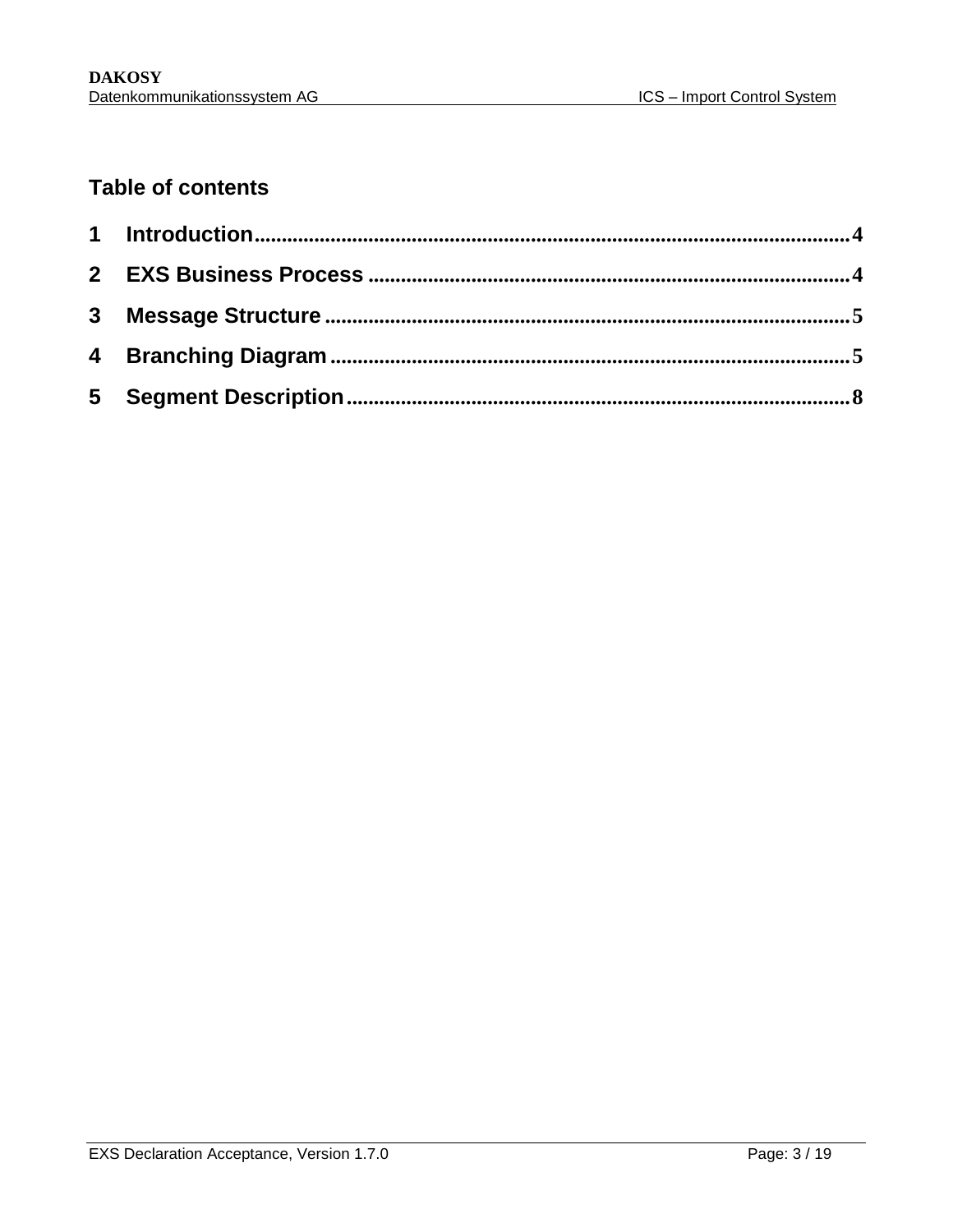### **Table of contents**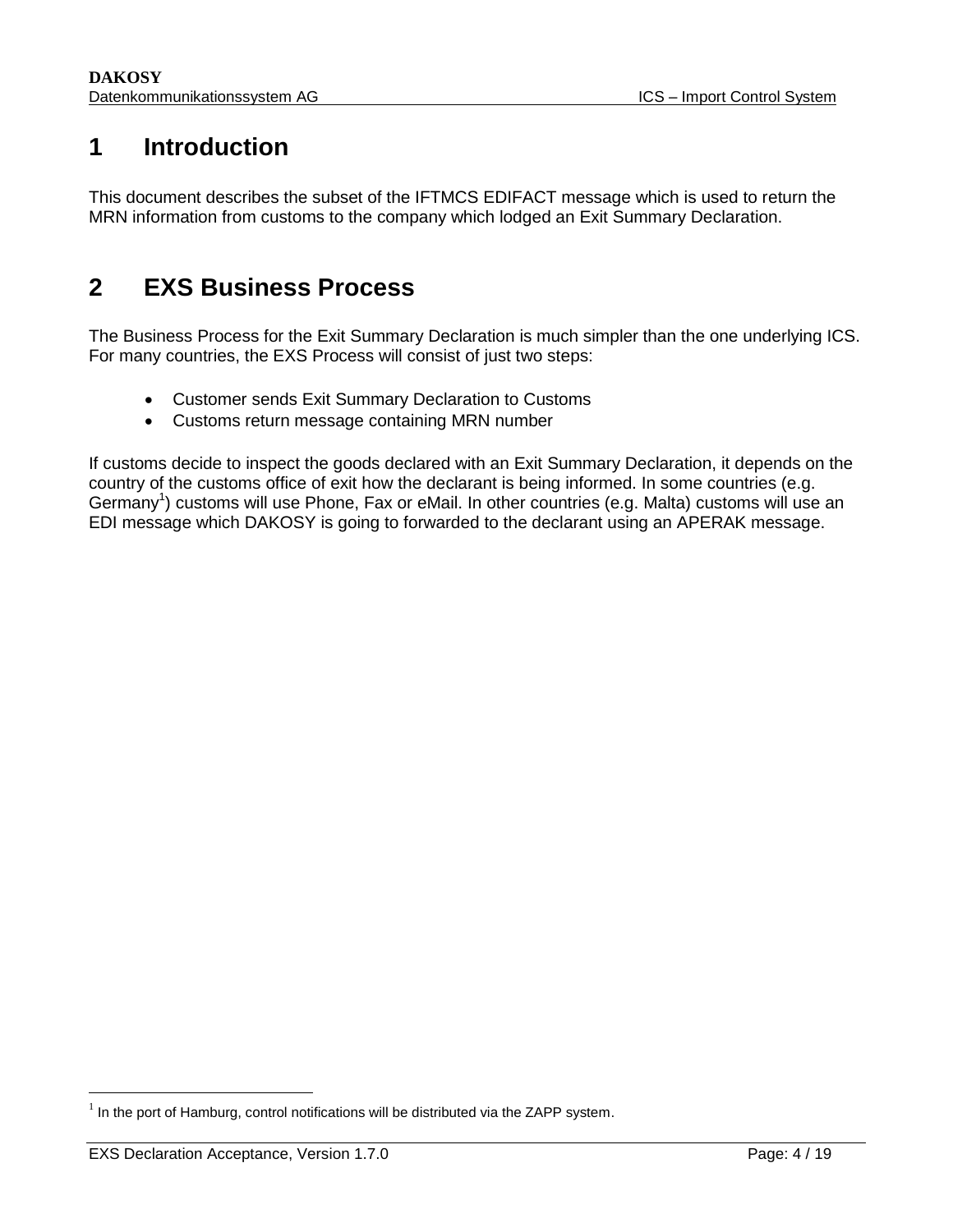### <span id="page-3-0"></span>**1 Introduction**

This document describes the subset of the IFTMCS EDIFACT message which is used to return the MRN information from customs to the company which lodged an Exit Summary Declaration.

### <span id="page-3-1"></span>**2 EXS Business Process**

The Business Process for the Exit Summary Declaration is much simpler than the one underlying ICS. For many countries, the EXS Process will consist of just two steps:

- Customer sends Exit Summary Declaration to Customs
- Customs return message containing MRN number

If customs decide to inspect the goods declared with an Exit Summary Declaration, it depends on the country of the customs office of exit how the declarant is being informed. In some countries (e.g. Germany<sup>1</sup>) customs will use Phone, Fax or eMail. In other countries (e.g. Malta) customs will use an EDI message which DAKOSY is going to forwarded to the declarant using an APERAK message.

 $\overline{\phantom{a}}$ 

 $1$  In the port of Hamburg, control notifications will be distributed via the ZAPP system.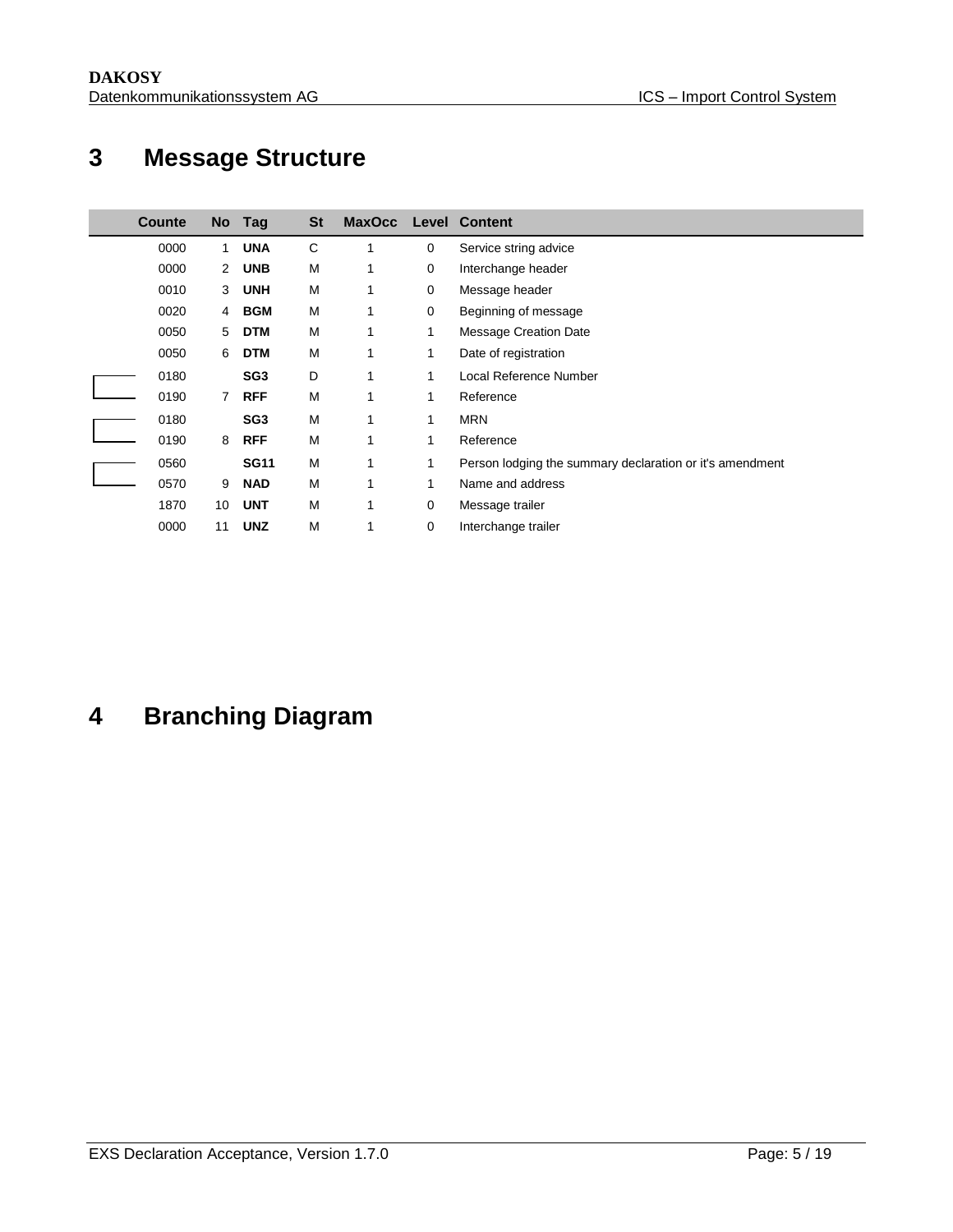## <span id="page-4-0"></span>**Message Structure**

| Counte | <b>No</b>      | Tag             | <b>St</b> | <b>MaxOcc</b> |              | <b>Level Content</b>                                     |
|--------|----------------|-----------------|-----------|---------------|--------------|----------------------------------------------------------|
| 0000   | 1.             | <b>UNA</b>      | C         | 1             | 0            | Service string advice                                    |
| 0000   | $\overline{2}$ | <b>UNB</b>      | М         | 1             | 0            | Interchange header                                       |
| 0010   | 3              | <b>UNH</b>      | M         | 1             | 0            | Message header                                           |
| 0020   | 4              | <b>BGM</b>      | M         | 1             | 0            | Beginning of message                                     |
| 0050   | 5              | <b>DTM</b>      | M         | 1             | 1            | Message Creation Date                                    |
| 0050   | 6              | <b>DTM</b>      | М         | 1             | 1            | Date of registration                                     |
| 0180   |                | SG <sub>3</sub> | D         | 1             | 1            | Local Reference Number                                   |
| 0190   | $\overline{7}$ | <b>RFF</b>      | M         | 1             | 1            | Reference                                                |
| 0180   |                | SG <sub>3</sub> | M         | 1             | 1            | <b>MRN</b>                                               |
| 0190   | 8              | <b>RFF</b>      | M         | 1             | 1            | Reference                                                |
| 0560   |                | <b>SG11</b>     | M         | 1             | 1            | Person lodging the summary declaration or it's amendment |
| 0570   | 9              | <b>NAD</b>      | M         | 1             | $\mathbf{1}$ | Name and address                                         |
| 1870   | 10             | <b>UNT</b>      | M         | 1             | 0            | Message trailer                                          |
| 0000   | 11             | <b>UNZ</b>      | M         |               | 0            | Interchange trailer                                      |

## <span id="page-4-1"></span>**Branching Diagram**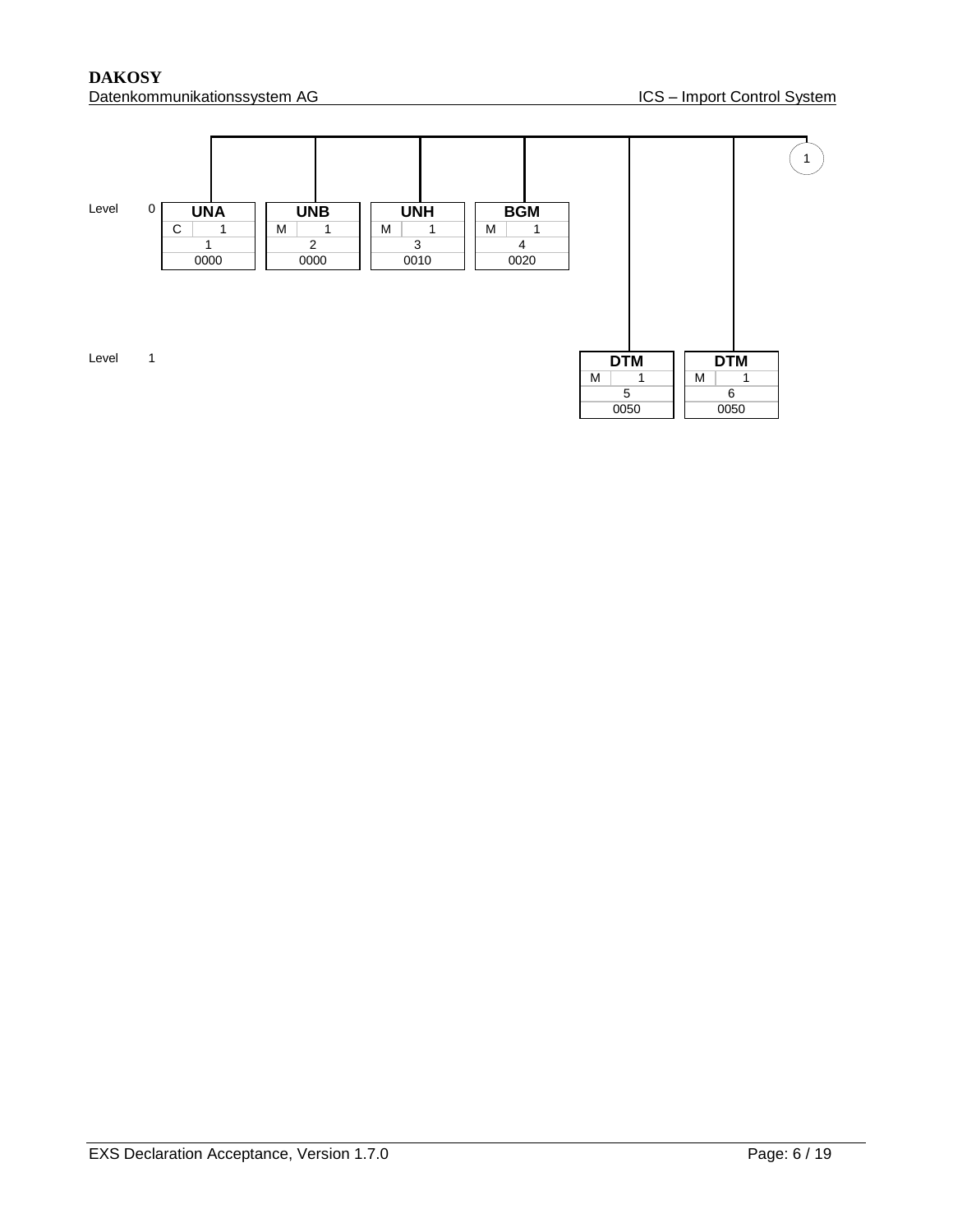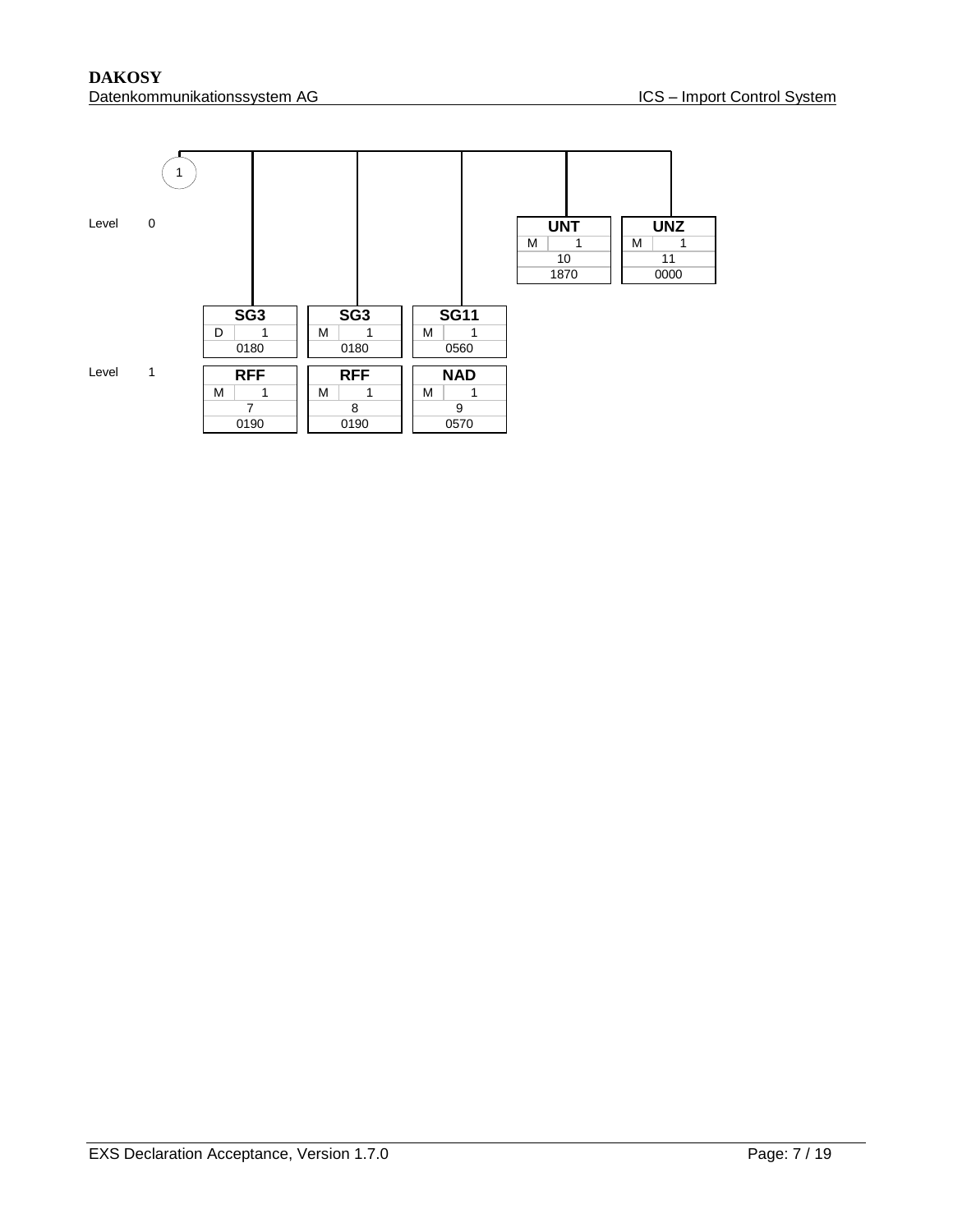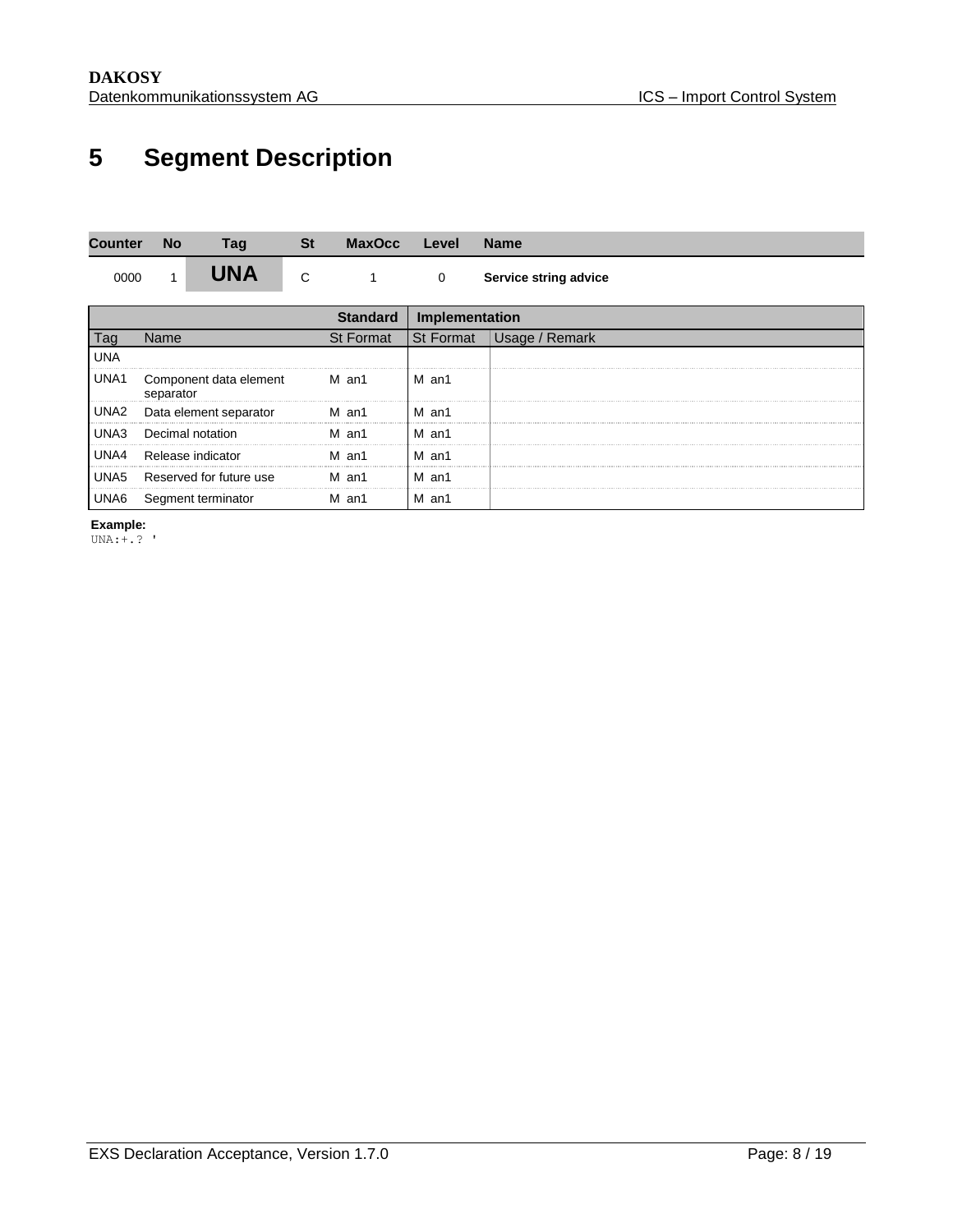## <span id="page-7-0"></span>**5 Segment Description**

| Counter    | <b>No</b> | Taq                     | St | <b>MaxOcc</b>   | Level          | <b>Name</b>           |
|------------|-----------|-------------------------|----|-----------------|----------------|-----------------------|
| 0000       |           | UNA                     | С  |                 | 0              | Service string advice |
|            |           |                         |    | <b>Standard</b> | Implementation |                       |
| Tag        | Name      |                         |    | St Format       | St Format      | Usage / Remark        |
| <b>UNA</b> |           |                         |    |                 |                |                       |
| UNA1       | separator | Component data element  |    | M an1           | M an1          |                       |
| UNA2       |           | Data element separator  |    | M an1           | M an1<br>      |                       |
| UNA3       |           | Decimal notation        |    | M an1           | M an1          |                       |
| UNA4       |           | Release indicator       |    | an1<br>М        | M an1          |                       |
| UNA5       |           | Reserved for future use |    | м<br>an1        | M an1          |                       |
| UNA6       |           | Segment terminator      |    | M an1           | M an1          |                       |

**Example:**

UNA:+.? '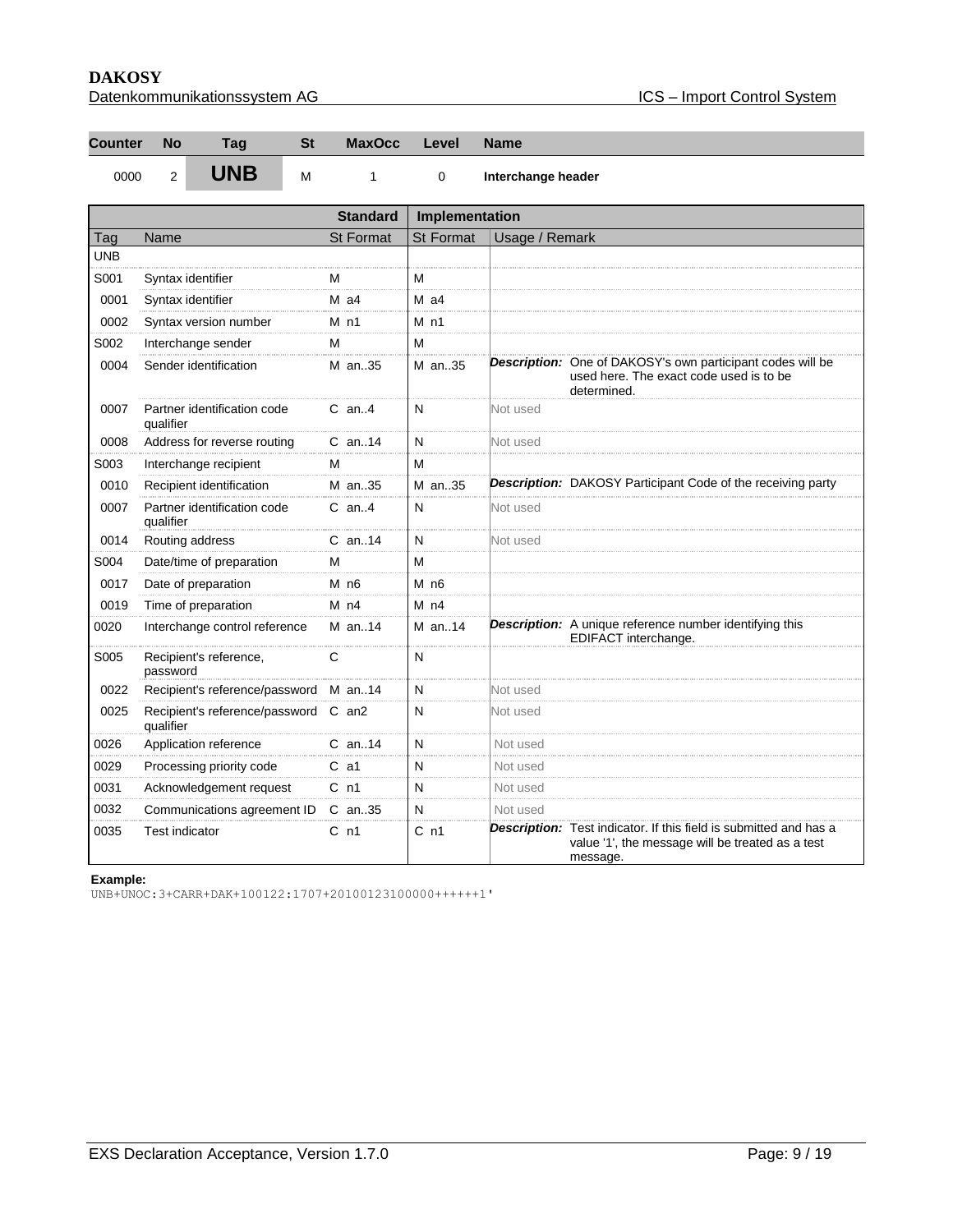| Datenkommunikationssystem AG |  |
|------------------------------|--|
|                              |  |

| Counter No | Tag         | <b>St</b> | MaxOcc Level Name |                  |
|------------|-------------|-----------|-------------------|------------------|
| 0000       | <b>TINR</b> |           |                   | <u> Latana L</u> |

0000 2 **UNB** M 1 0 Interchange header

|            |                                             | <b>Standard</b>    | Implementation   |                |                                                                                                                                   |
|------------|---------------------------------------------|--------------------|------------------|----------------|-----------------------------------------------------------------------------------------------------------------------------------|
| Tag        | Name                                        | <b>St Format</b>   | <b>St Format</b> | Usage / Remark |                                                                                                                                   |
| <b>UNB</b> |                                             |                    |                  |                |                                                                                                                                   |
| S001       | Syntax identifier                           | м                  | M                |                |                                                                                                                                   |
| 0001       | Syntax identifier                           | $M$ a4             | $M$ a4           |                |                                                                                                                                   |
| 0002       | Syntax version number                       | $M$ n1             | $M$ n1           |                |                                                                                                                                   |
| S002       | Interchange sender                          | м                  | M                |                |                                                                                                                                   |
| 0004       | Sender identification                       | M an35             | M an35           |                | <b>Description:</b> One of DAKOSY's own participant codes will be<br>used here. The exact code used is to be<br>determined.       |
| 0007       | Partner identification code<br>qualifier    | $C$ an. 4          | N                | Not used       |                                                                                                                                   |
| 0008       | Address for reverse routing                 | $C$ an. 14         | N                | Not used       |                                                                                                                                   |
| S003       | Interchange recipient                       | м                  | м                |                |                                                                                                                                   |
| 0010       | Recipient identification                    | M an35             | M an35           |                | <b>Description:</b> DAKOSY Participant Code of the receiving party                                                                |
| 0007       | Partner identification code<br>qualifier    | $C$ an4            | N                | Not used       |                                                                                                                                   |
| 0014       | Routing address                             | $C$ an. 14         | N                | Not used       |                                                                                                                                   |
| S004       | Date/time of preparation                    | м                  | M                |                |                                                                                                                                   |
| 0017       | Date of preparation                         | $M$ n <sub>6</sub> | M <sub>n6</sub>  |                |                                                                                                                                   |
| 0019       | Time of preparation                         | $M$ n4             | M <sub>n4</sub>  |                |                                                                                                                                   |
| 0020       | Interchange control reference               | $M$ an. 14         | M an14           |                | <b>Description:</b> A unique reference number identifying this<br>EDIFACT interchange.                                            |
| S005       | Recipient's reference,<br>password          | C                  | $\mathsf{N}$     |                |                                                                                                                                   |
| 0022       | Recipient's reference/password              | M an. $14$         | N                | Not used       |                                                                                                                                   |
| 0025       | Recipient's reference/password<br>qualifier | $C$ an2            | N                | Not used       |                                                                                                                                   |
| 0026       | Application reference                       | $C$ an. 14         | N                | Not used       |                                                                                                                                   |
| 0029       | Processing priority code                    | $C$ a1             | N                | Not used       |                                                                                                                                   |
| 0031       | Acknowledgement request                     | C <sub>n1</sub>    | N                | Not used       |                                                                                                                                   |
| 0032       | Communications agreement ID                 | C an35             | N                | Not used       |                                                                                                                                   |
| 0035       | <b>Test indicator</b>                       | C <sub>n1</sub>    | C <sub>n1</sub>  |                | Description: Test indicator. If this field is submitted and has a<br>value '1', the message will be treated as a test<br>message. |

#### **Example:**

UNB+UNOC:3+CARR+DAK+100122:1707+20100123100000++++++1'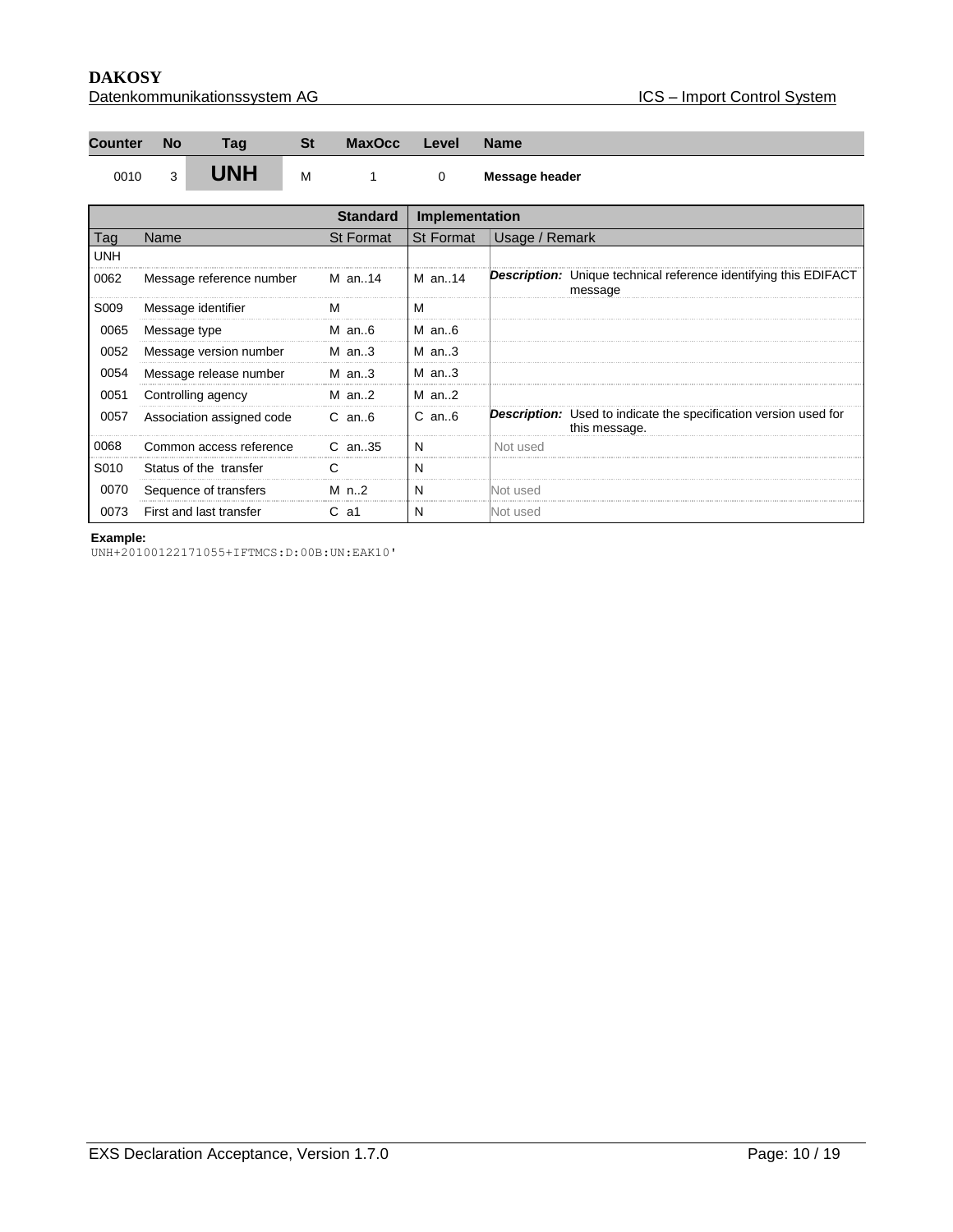| Datenkommunikationssystem AG |
|------------------------------|
|------------------------------|

| <b>Counter</b> | <b>No</b>    | Taɑ        | St | <b>MaxOcc</b> | Level | <b>Name</b>    |
|----------------|--------------|------------|----|---------------|-------|----------------|
| 0010           | $\mathbf{z}$ | <b>UNH</b> | М  |               |       | Message header |

|      |                           | <b>Standard</b> | Implementation   |                                                                                          |
|------|---------------------------|-----------------|------------------|------------------------------------------------------------------------------------------|
| Taq  | Name                      | St Format       | <b>St Format</b> | Usage / Remark                                                                           |
| UNH  |                           |                 |                  |                                                                                          |
| 0062 | Message reference number  | M an14          | M an14           | <b>Description:</b> Unique technical reference identifying this EDIFACT<br>message       |
| S009 | Message identifier        | м               | м                |                                                                                          |
| 0065 | Message type              | M an $6$        | $M$ an6          |                                                                                          |
| 0052 | Message version number    | $M$ an3         | $M$ an3          |                                                                                          |
| 0054 | Message release number    | $M$ an3         | $M$ an3          |                                                                                          |
| 0051 | Controlling agency        | $M$ an2         | $M$ an2          |                                                                                          |
| 0057 | Association assigned code | $C$ an $6$      | $C$ an $6$       | <b>Description:</b> Used to indicate the specification version used for<br>this message. |
| 0068 | Common access reference   | $C$ an. 35      | N                | Not used                                                                                 |
| S010 | Status of the transfer    | C.              | N                |                                                                                          |
| 0070 | Sequence of transfers     | M $n.2$         | N                | Not used                                                                                 |
| 0073 | First and last transfer   | -a1             | N                | Not used                                                                                 |

#### **Example:**

UNH+20100122171055+IFTMCS:D:00B:UN:EAK10'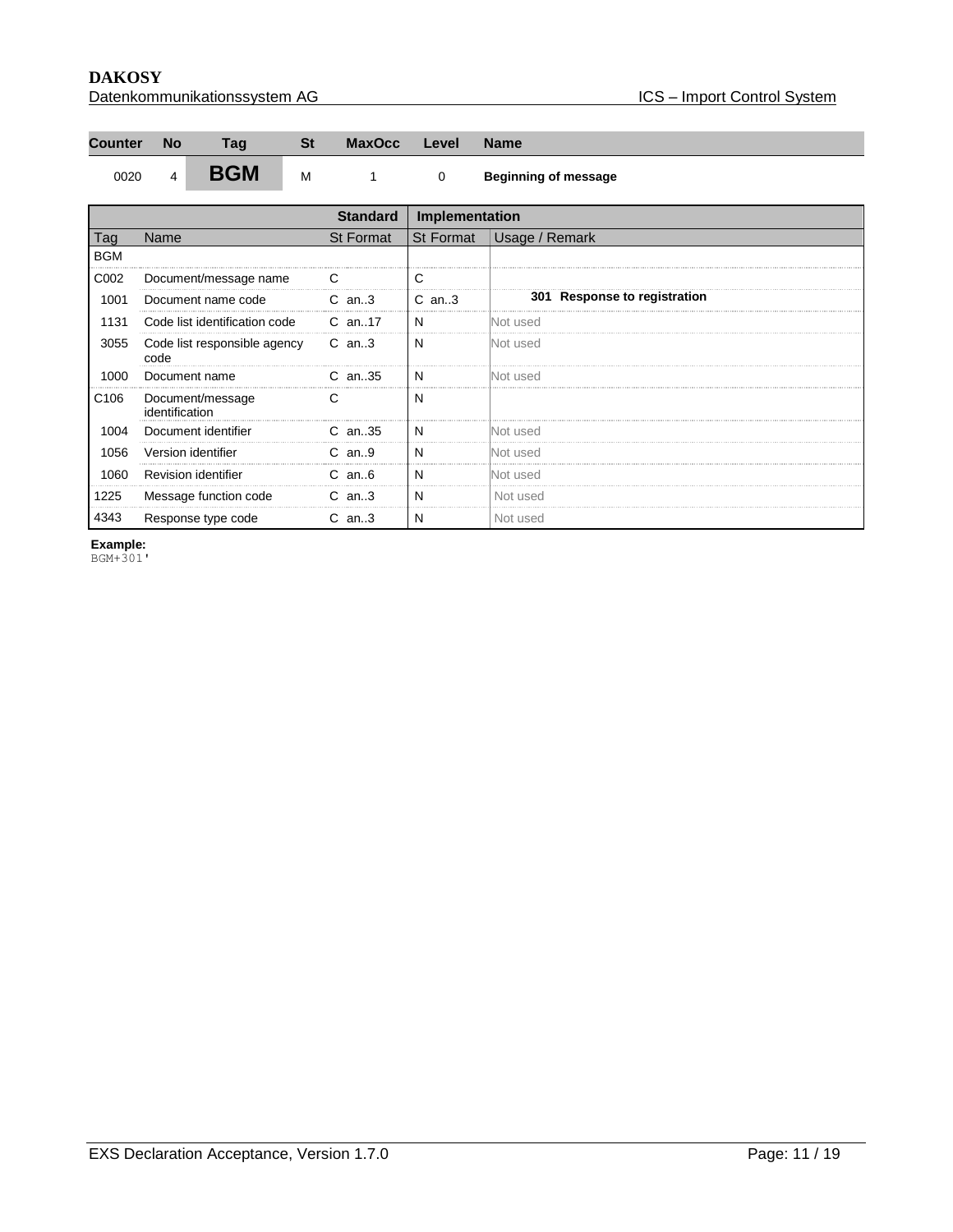| Datenkommunikationssystem AG |  |
|------------------------------|--|
|                              |  |

| <b>Counter</b> | <b>No</b> | Tag        | St | <b>MaxOcc</b> | Level | <b>Name</b>                 |
|----------------|-----------|------------|----|---------------|-------|-----------------------------|
| 0020           |           | <b>BGM</b> | M  |               |       | <b>Beginning of message</b> |

|                  |                                      | <b>Standard</b> | Implementation |                              |  |
|------------------|--------------------------------------|-----------------|----------------|------------------------------|--|
| Tag              | Name                                 | St Format       |                | St Format Usage / Remark     |  |
| <b>BGM</b>       |                                      |                 |                |                              |  |
| C002             | Document/message name                |                 |                |                              |  |
| 1001             | Document name code                   | $C$ an3         | $C$ an3        | 301 Response to registration |  |
| 1131             | Code list identification code        | C an17          | N              | Not used                     |  |
| 3055             | Code list responsible agency<br>code | C an3           | N              | <b>Not used</b>              |  |
| 1000             | Document name                        | $C$ an. 35      | N              | lNot used                    |  |
| C <sub>106</sub> | Document/message<br>identification   |                 | N              |                              |  |
| 1004             | Document identifier                  | $C$ an. 35      | N              | Not used                     |  |
| 1056             | Version identifier                   | $C$ an9         | N              | Not used                     |  |
| 1060             | Revision identifier                  | $C$ an $6$      | N              | Not used                     |  |
| 1225             | Message function code                | $C$ an3         | N              | Not used                     |  |
| 4343             | Response type code                   | $C$ an3         | N              | Not used                     |  |

**Example:**

BGM+301'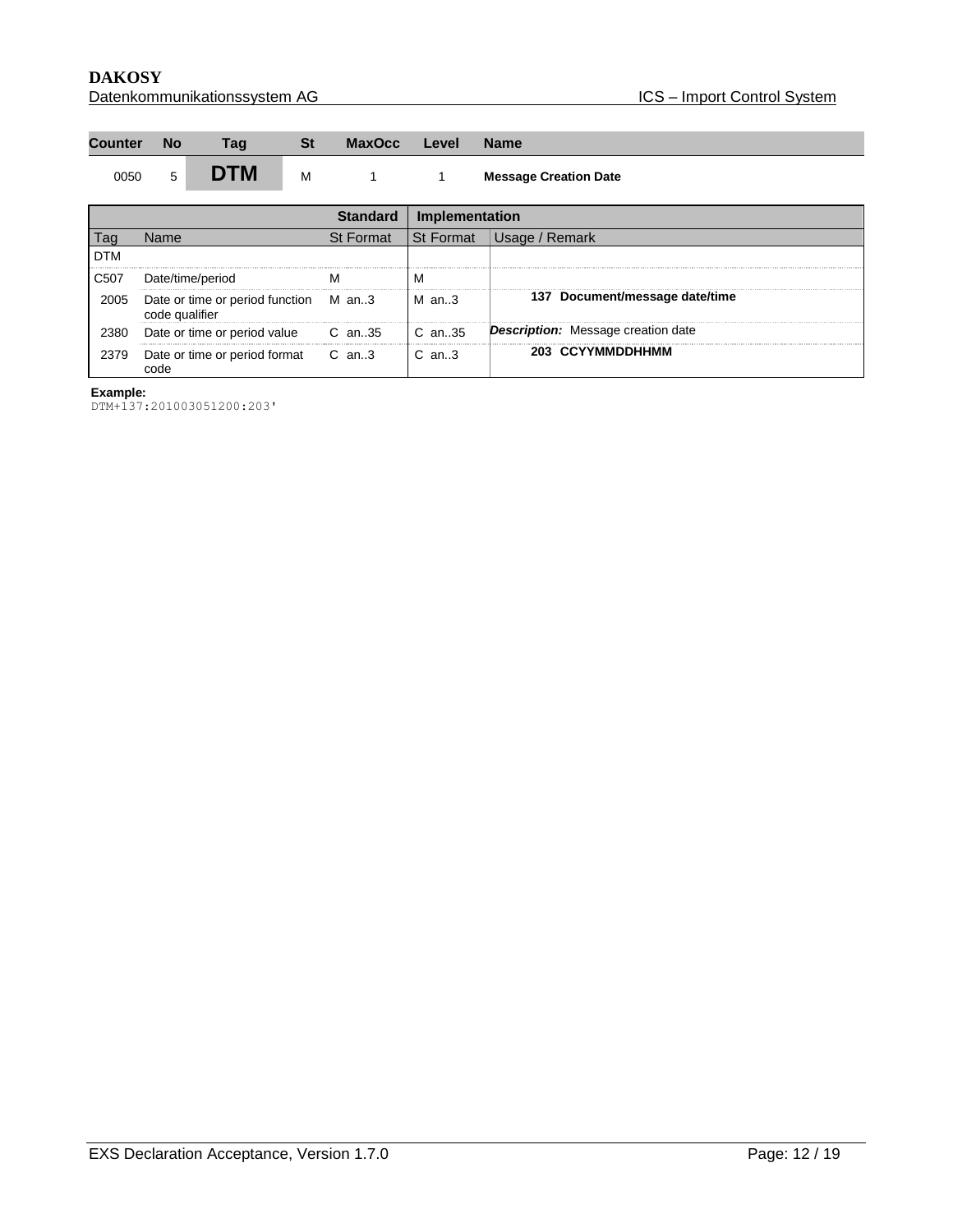| Counter No                                   | Tag        | -St | MaxOcc Level Name |  |  |  |
|----------------------------------------------|------------|-----|-------------------|--|--|--|
| the control of the control of the control of | <b>DTM</b> |     |                   |  |  |  |

|            |                                                         |           | Implementation       |                                           |
|------------|---------------------------------------------------------|-----------|----------------------|-------------------------------------------|
|            | Name                                                    | St Format | <b>St Format</b>     | Remark<br>Usage /                         |
| <b>DTM</b> |                                                         |           |                      |                                           |
| C507       | Date/time/period                                        |           | ΙVΙ                  |                                           |
| 2005       | Date or time or period function M an3<br>code qualifier |           | $M$ an3              | 137 Document/message date/time            |
| 2380       | Date or time or period value                            | C an35    | $\mathsf{IC}$ an. 35 | <b>Description:</b> Message creation date |
| 2379       | Date or time or period format C an3                     |           | $C$ an3              | 203 CCYYMMDDHHMM                          |

DTM+137:201003051200:203'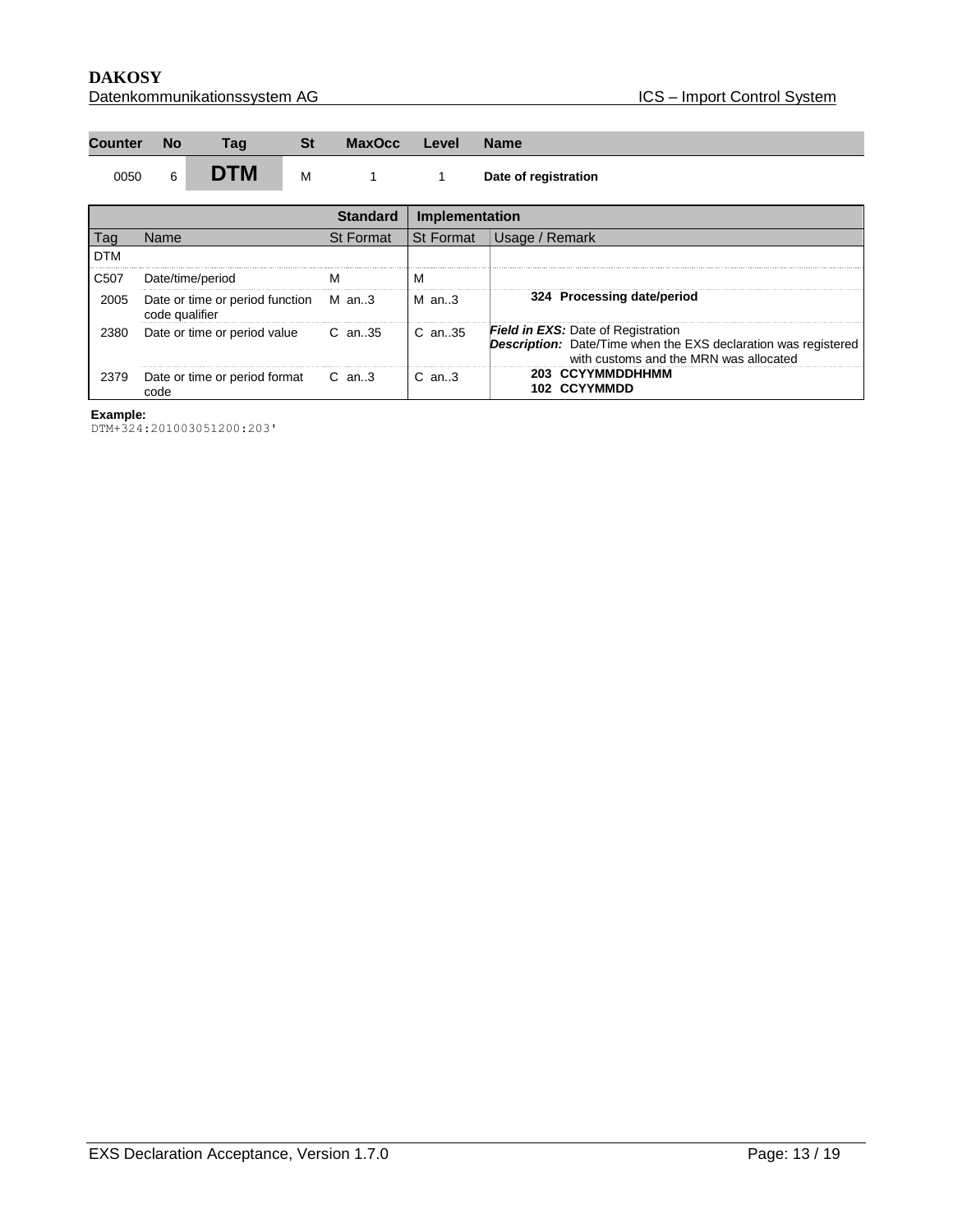#### **DAKOSY**<br>Datenkommunikationssystem AG <br>Datenkommunikationssystem AG <br>Datenkommunikationssystem AG <br>Datenkommunikationssystem AG <br>Datenkommunikationssystem AG <br>Datenkommunikationssystem AG <br>Datenkommunikationssystem AG <br>Dat Datenkommunikationssystem AG

| Counter No | Tag | .St | MaxOcc Level Name |  |  |
|------------|-----|-----|-------------------|--|--|
|            |     |     |                   |  |  |

### 0050 6 **DTM** M 1 1 Date of registration

|            |                                                         | Standard         | Implementation |                                                                                                                                                              |
|------------|---------------------------------------------------------|------------------|----------------|--------------------------------------------------------------------------------------------------------------------------------------------------------------|
|            | Name                                                    | <b>St Format</b> | l St Format    | Usage / Remark                                                                                                                                               |
| <b>DTM</b> |                                                         |                  |                |                                                                                                                                                              |
| C507       | Date/time/period                                        |                  | м              |                                                                                                                                                              |
| 2005       | Date or time or period function M an3<br>code qualifier |                  | $M$ an3        | 324 Processing date/period                                                                                                                                   |
| 2380       | Date or time or period value                            | C an35           | $C$ an. 35     | <b>Field in EXS:</b> Date of Registration<br><b>Description:</b> Date/Time when the EXS declaration was registered<br>with customs and the MRN was allocated |
| 2379       | Date or time or period format C an3                     |                  | $C$ an. $3$    | 203 CCYYMMDDHHMM<br><b>102 CCYYMMDD</b>                                                                                                                      |

#### **Example:**

DTM+324:201003051200:203'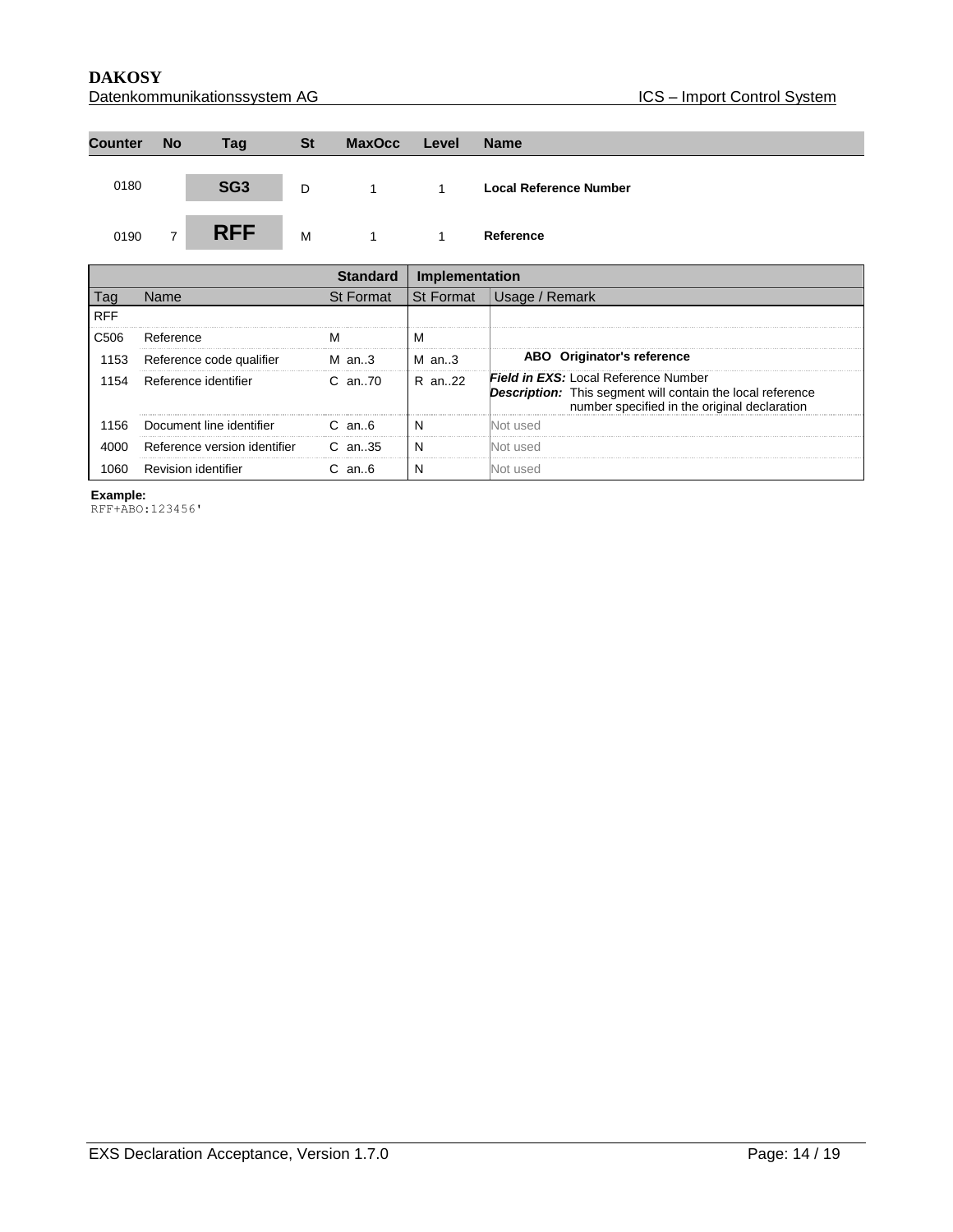**DAKOSY**<br>Datenkommunikationssystem AG <br>Datenkommunikationssystem AG <br>Datenkommunikationssystem AG <br>Datenkommunikationssystem AG <br>Datenkommunikationssystem AG <br>Datenkommunikationssystem AG <br>Datenkommunikationssystem AG <br>Dat Datenkommunikationssystem AG

| <b>Counter</b> | <b>No</b>      | Tag             | <b>St</b> | <b>MaxOcc</b>  | Level | <b>Name</b>                   |
|----------------|----------------|-----------------|-----------|----------------|-------|-------------------------------|
| 0180           |                | SG <sub>3</sub> | D         | $\sim$ 1       |       | <b>Local Reference Number</b> |
| 0190           | $\overline{7}$ | <b>RFF</b>      | M         | $\overline{1}$ |       | Reference                     |

|            |                              |                  | Implementation   |                                                                                                                                                                  |
|------------|------------------------------|------------------|------------------|------------------------------------------------------------------------------------------------------------------------------------------------------------------|
| l ag       | Name                         | <b>St Format</b> | <b>St Format</b> | Usage / Remark                                                                                                                                                   |
| <b>RFF</b> |                              |                  |                  |                                                                                                                                                                  |
| C506       | Reference                    |                  | м                |                                                                                                                                                                  |
| 1153       | Reference code qualifier     | M an3            | $M$ an3          | ABO Originator's reference                                                                                                                                       |
| 1154       | Reference identifier         | C an70           | R an22           | <b>Field in EXS:</b> Local Reference Number<br><b>Description:</b> This segment will contain the local reference<br>number specified in the original declaration |
| 1156       | Document line identifier     | $C$ an $6$       |                  | Not used                                                                                                                                                         |
| 4000       | Reference version identifier | C an. 35         |                  | Not used                                                                                                                                                         |
|            | <b>Revision identifier</b>   | an6              |                  |                                                                                                                                                                  |

**Example:**

RFF+ABO:123456'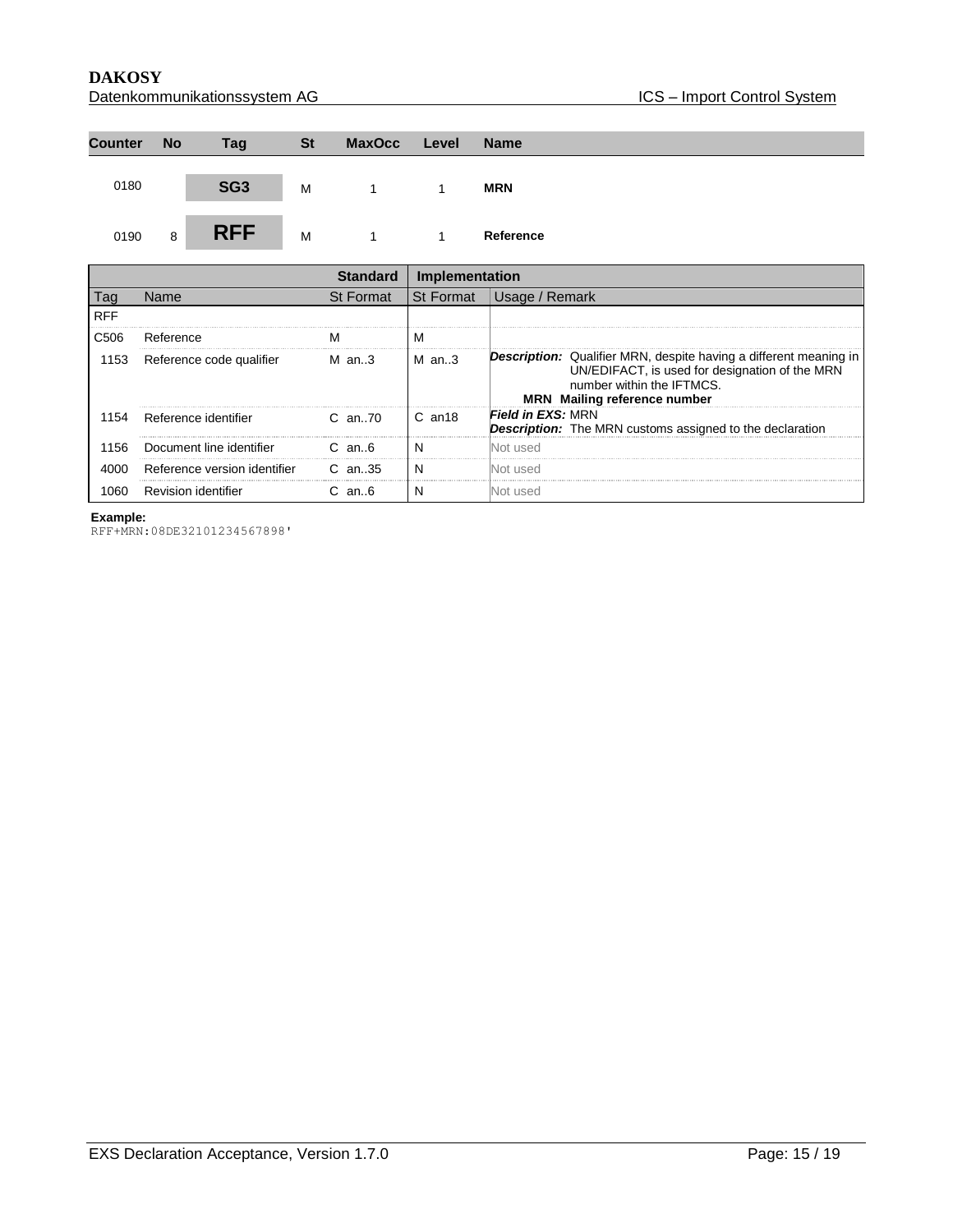**DAKOSY**<br>Datenkommunikationssystem AG <br>Datenkommunikationssystem AG <br>Datenkommunikationssystem AG <br>Datenkommunikationssystem AG <br>Datenkommunikationssystem AG <br>Datenkommunikationssystem AG <br>Datenkommunikationssystem AG <br>Dat Datenkommunikationssystem AG

| <b>Counter</b> | <b>No</b> | Tag             | <b>St</b> | <b>MaxOcc</b> | Level | <b>Name</b> |
|----------------|-----------|-----------------|-----------|---------------|-------|-------------|
| 0180           |           | SG <sub>3</sub> | M         |               |       | <b>MRN</b>  |
| 0190           | 8         | <b>RFF</b>      | M         |               |       | Reference   |

|                  |                              | tandard          | Implementation |                                                                                                                                                                                                |
|------------------|------------------------------|------------------|----------------|------------------------------------------------------------------------------------------------------------------------------------------------------------------------------------------------|
| l ag             | Name                         | <b>St Format</b> | St Format      | Usage / Remark                                                                                                                                                                                 |
| <b>RFF</b>       |                              |                  |                |                                                                                                                                                                                                |
| C <sub>506</sub> | Reference                    |                  | м              |                                                                                                                                                                                                |
| 1153             | Reference code qualifier     | M an3            | $M$ an3        | <b>Description:</b> Qualifier MRN, despite having a different meaning in<br>UN/EDIFACT, is used for designation of the MRN<br>number within the IFTMCS.<br><b>MRN</b> Mailing reference number |
| 1154             | Reference identifier         | $C$ an $70$      | $C$ an $18$    | <b>Field in EXS: MRN</b><br><b>Description:</b> The MRN customs assigned to the declaration                                                                                                    |
| 156              | Document line identifier     | $C$ an $6$       |                | Not used                                                                                                                                                                                       |
| 4000             | Reference version identifier | $C$ an. 35       |                | Not used                                                                                                                                                                                       |
|                  | <b>Revision identifier</b>   | C an.6           |                |                                                                                                                                                                                                |

**Example:**

RFF+MRN:08DE32101234567898'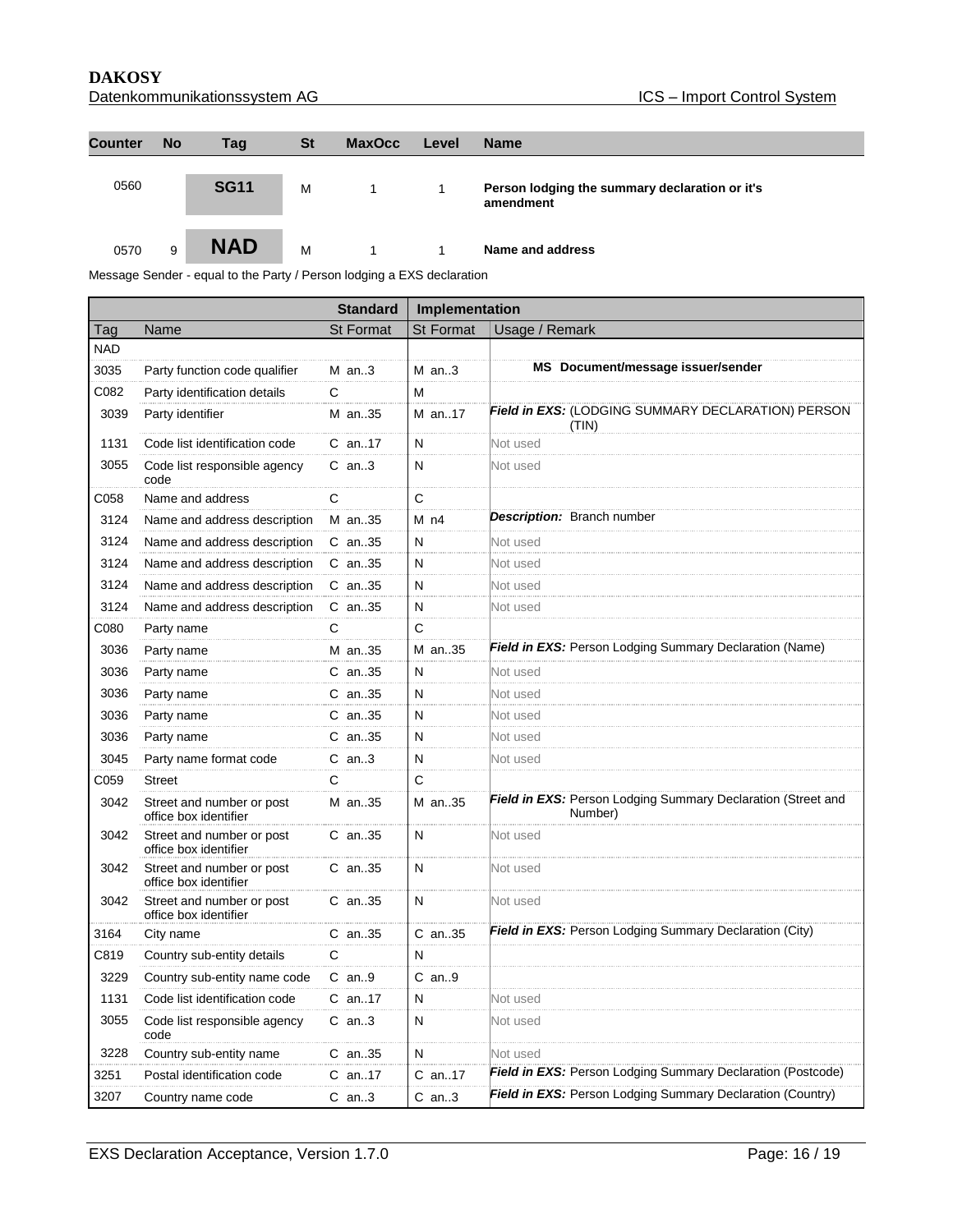| Datenkommunikationssystem AG |  |
|------------------------------|--|
|                              |  |

| <b>Counter</b> | <b>No</b> | Tag         | <b>St</b> | <b>MaxOcc</b> | Level | <b>Name</b>                                                 |
|----------------|-----------|-------------|-----------|---------------|-------|-------------------------------------------------------------|
| 0560           |           | <b>SG11</b> | M         |               | 1     | Person lodging the summary declaration or it's<br>amendment |
| 0570           | 9         | <b>NAD</b>  | M         | 1.            |       | Name and address                                            |

Message Sender - equal to the Party / Person lodging a EXS declaration

|            |                                                    | <b>Standard</b>  | Implementation   |                                                                         |  |
|------------|----------------------------------------------------|------------------|------------------|-------------------------------------------------------------------------|--|
| Tag        | Name                                               | <b>St Format</b> | <b>St Format</b> | Usage / Remark                                                          |  |
| <b>NAD</b> |                                                    |                  |                  |                                                                         |  |
| 3035       | Party function code qualifier                      | $M$ an3          | $M$ an3          | MS Document/message issuer/sender                                       |  |
| C082       | Party identification details                       | C                | M                |                                                                         |  |
| 3039       | Party identifier                                   | M an35           | M an17           | <b>Field in EXS:</b> (LODGING SUMMARY DECLARATION) PERSON<br>(TIN)      |  |
| 1131       | Code list identification code                      | $C$ an17         | N                | Not used                                                                |  |
| 3055       | Code list responsible agency<br>code               | $C$ an3          | N                | Not used                                                                |  |
| C058       | Name and address                                   | $\mathsf{C}$     | C                |                                                                         |  |
| 3124       | Name and address description                       | M an35           | M <sub>n4</sub>  | Description: Branch number                                              |  |
| 3124       | Name and address description                       | $C$ an. 35       | N                | Not used                                                                |  |
| 3124       | Name and address description                       | $C$ an. 35       | N                | Not used                                                                |  |
| 3124       | Name and address description                       | $C$ an. 35       | N                | Not used                                                                |  |
| 3124       | Name and address description                       | $C$ an. 35       | N                | Not used                                                                |  |
| C080       | Party name                                         | $\mathbf C$      | C                |                                                                         |  |
| 3036       | Party name                                         | M an35           | M an35           | Field in EXS: Person Lodging Summary Declaration (Name)                 |  |
| 3036       | Party name                                         | $C$ an. 35       | N                | Not used                                                                |  |
| 3036       | Party name                                         | $C$ an35         | N                | Not used                                                                |  |
| 3036       | Party name                                         | $C$ an35         | N                | Not used                                                                |  |
| 3036       | Party name                                         | $C$ an35         | N                | Not used                                                                |  |
| 3045       | Party name format code                             | $C$ an3          | N                | Not used                                                                |  |
| C059       | <b>Street</b>                                      | C                | C                |                                                                         |  |
| 3042       | Street and number or post<br>office box identifier | M an35           | M an35           | Field in EXS: Person Lodging Summary Declaration (Street and<br>Number) |  |
| 3042       | Street and number or post<br>office box identifier | $C$ an. 35       | N                | Not used                                                                |  |
| 3042       | Street and number or post<br>office box identifier | $C$ an. 35       | N                | Not used                                                                |  |
| 3042       | Street and number or post<br>office box identifier | C an35           | N                | Not used                                                                |  |
| 3164       | City name                                          | $C$ an35         | $C$ an35         | Field in EXS: Person Lodging Summary Declaration (City)                 |  |
| C819       | Country sub-entity details                         | C                | N                |                                                                         |  |
| 3229       | Country sub-entity name code                       | $C$ an9          | $C$ an9          |                                                                         |  |
| 1131       | Code list identification code                      | $C$ an. 17       | N                | Not used                                                                |  |
| 3055       | Code list responsible agency<br>code               | $C$ an3          | N                | Not used                                                                |  |
| 3228       | Country sub-entity name                            | C an35           | N                | Not used                                                                |  |
| 3251       | Postal identification code                         | $C$ an17         | C an17           | Field in EXS: Person Lodging Summary Declaration (Postcode)             |  |
| 3207       | Country name code                                  | $C$ an3          | $C$ an3          | Field in EXS: Person Lodging Summary Declaration (Country)              |  |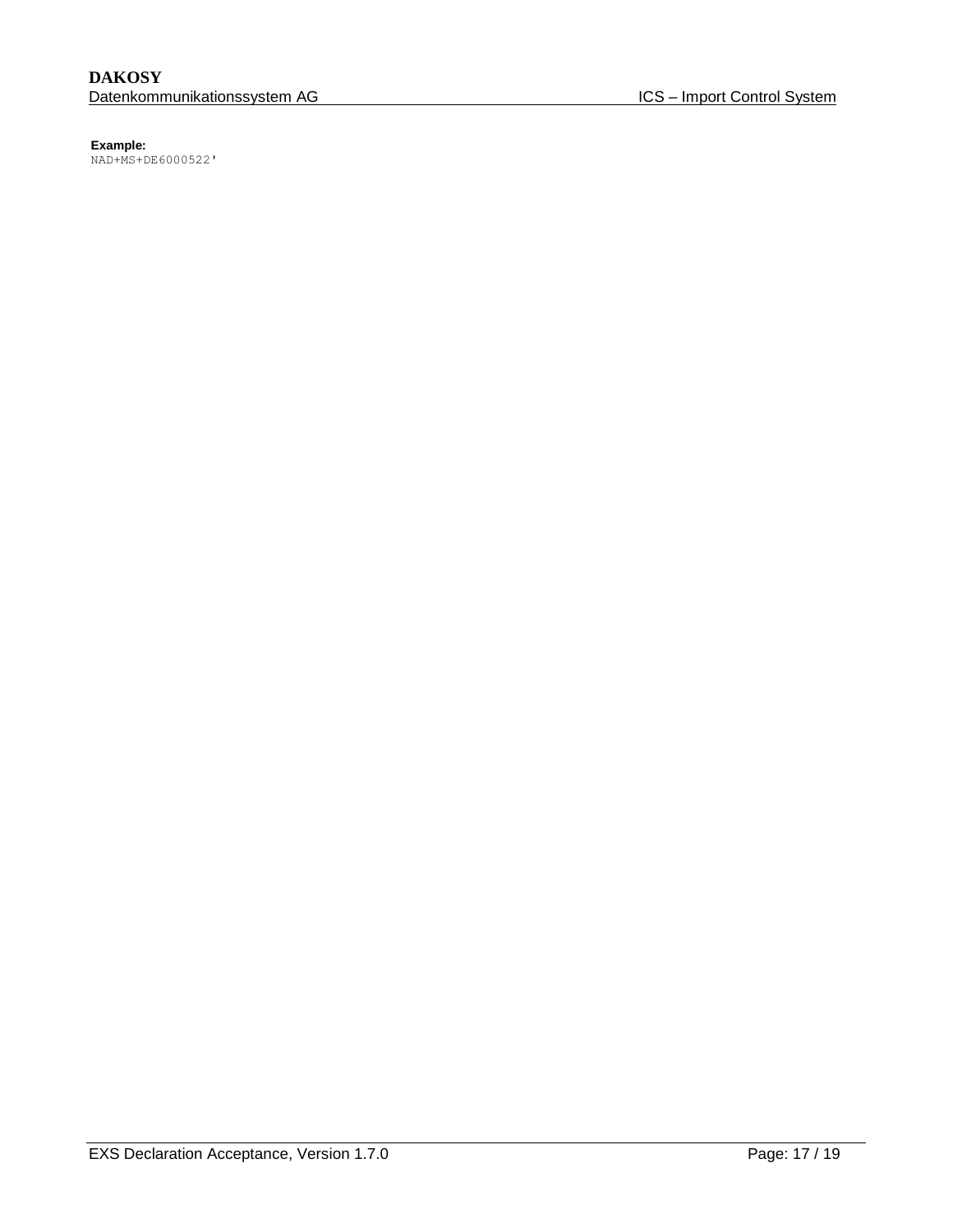NAD+MS+DE6000522'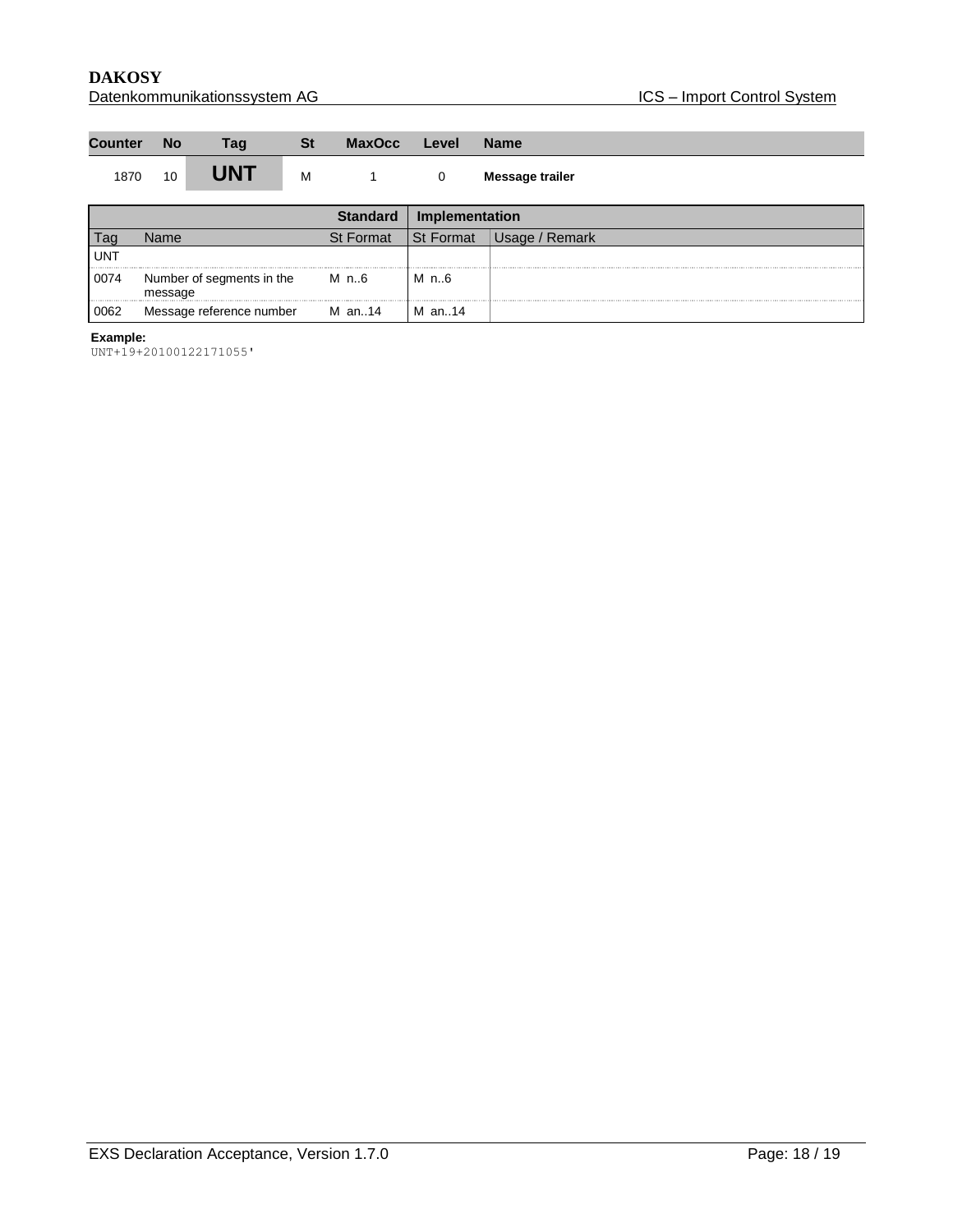| <b>Counter</b> | <b>No</b> | <b>Tag</b> | St | MaxOcc | Level | <b>Name</b>     |
|----------------|-----------|------------|----|--------|-------|-----------------|
| 1870           | 10        | <b>JNT</b> | M  |        |       | Message trailer |

|            |                                      | Standard         | Implementation   |                |
|------------|--------------------------------------|------------------|------------------|----------------|
|            | Name                                 | <b>St Format</b> | <b>St Format</b> | Usage / Remark |
| <b>UNT</b> |                                      |                  |                  |                |
| 0074       | Number of segments in the<br>message | M n6             | M n6             |                |
| 0062       | Message reference number             | M an14           | M an14           |                |

UNT+19+20100122171055'